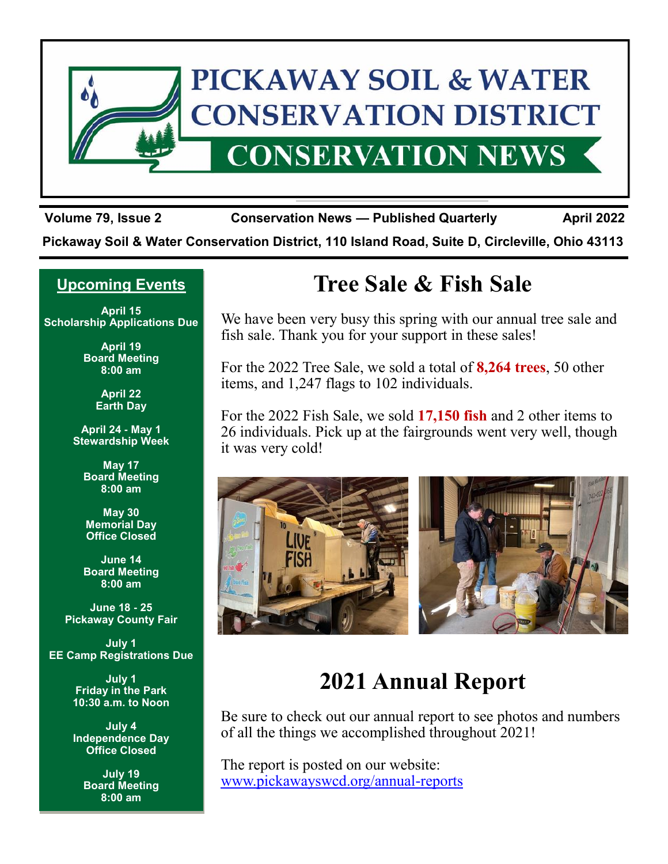

**Volume 79, Issue 2 Conservation News — Published Quarterly April 2022**

**Pickaway Soil & Water Conservation District, 110 Island Road, Suite D, Circleville, Ohio 43113**

## **Upcoming Events**

**April 15 Scholarship Applications Due**

> **April 19 Board Meeting 8:00 am**

> > **April 22 Earth Day**

**April 24 - May 1 Stewardship Week**

**May 17 Board Meeting 8:00 am**

**May 30 Memorial Day Office Closed**

**June 14 Board Meeting 8:00 am**

**June 18 - 25 Pickaway County Fair**

**July 1 EE Camp Registrations Due**

> **July 1 Friday in the Park 10:30 a.m. to Noon**

**July 4 Independence Day Office Closed**

> **July 19 Board Meeting 8:00 am**

# **Tree Sale & Fish Sale**

We have been very busy this spring with our annual tree sale and fish sale. Thank you for your support in these sales!

For the 2022 Tree Sale, we sold a total of **8,264 trees**, 50 other items, and 1,247 flags to 102 individuals.

For the 2022 Fish Sale, we sold **17,150 fish** and 2 other items to 26 individuals. Pick up at the fairgrounds went very well, though it was very cold!



## **2021 Annual Report**

Be sure to check out our annual report to see photos and numbers of all the things we accomplished throughout 2021!

The report is posted on our website: [www.pickawayswcd.org/annual-reports](http://www.pickawayswcd.org/annual-reports)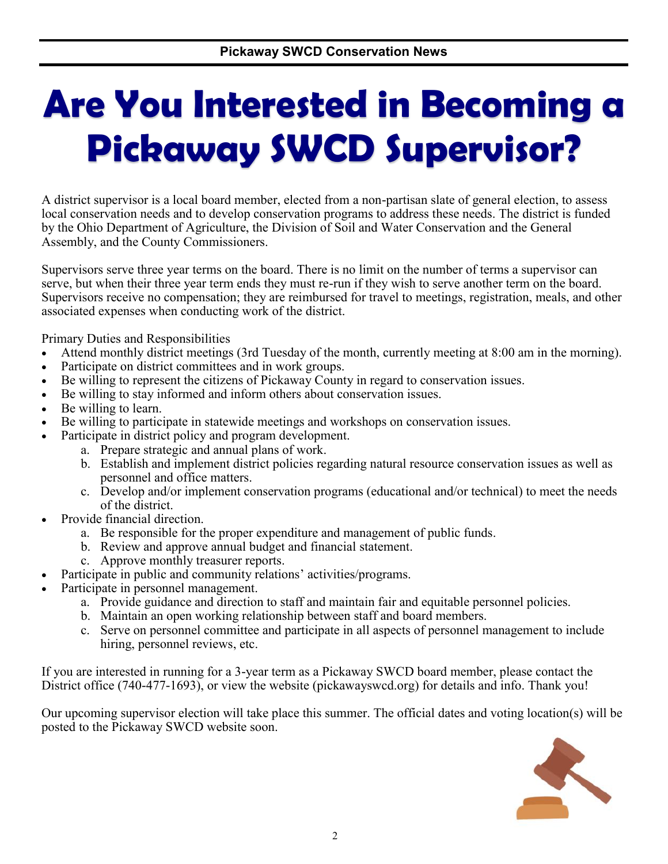# **Are You Interested in Becoming a Pickaway SWCD Supervisor?**

A district supervisor is a local board member, elected from a non-partisan slate of general election, to assess local conservation needs and to develop conservation programs to address these needs. The district is funded by the Ohio Department of Agriculture, the Division of Soil and Water Conservation and the General Assembly, and the County Commissioners.

Supervisors serve three year terms on the board. There is no limit on the number of terms a supervisor can serve, but when their three year term ends they must re-run if they wish to serve another term on the board. Supervisors receive no compensation; they are reimbursed for travel to meetings, registration, meals, and other associated expenses when conducting work of the district.

Primary Duties and Responsibilities

- Attend monthly district meetings (3rd Tuesday of the month, currently meeting at 8:00 am in the morning).
- Participate on district committees and in work groups.
- Be willing to represent the citizens of Pickaway County in regard to conservation issues.
- Be willing to stay informed and inform others about conservation issues.
- Be willing to learn.
- Be willing to participate in statewide meetings and workshops on conservation issues.
- Participate in district policy and program development.
	- a. Prepare strategic and annual plans of work.
	- b. Establish and implement district policies regarding natural resource conservation issues as well as personnel and office matters.
	- c. Develop and/or implement conservation programs (educational and/or technical) to meet the needs of the district.
- Provide financial direction.
	- a. Be responsible for the proper expenditure and management of public funds.
	- b. Review and approve annual budget and financial statement.
	- c. Approve monthly treasurer reports.
- Participate in public and community relations' activities/programs.
- Participate in personnel management.
	- a. Provide guidance and direction to staff and maintain fair and equitable personnel policies.
	- b. Maintain an open working relationship between staff and board members.
	- c. Serve on personnel committee and participate in all aspects of personnel management to include hiring, personnel reviews, etc.

If you are interested in running for a 3-year term as a Pickaway SWCD board member, please contact the District office (740-477-1693), or view the website (pickawayswcd.org) for details and info. Thank you!

Our upcoming supervisor election will take place this summer. The official dates and voting location(s) will be posted to the Pickaway SWCD website soon.

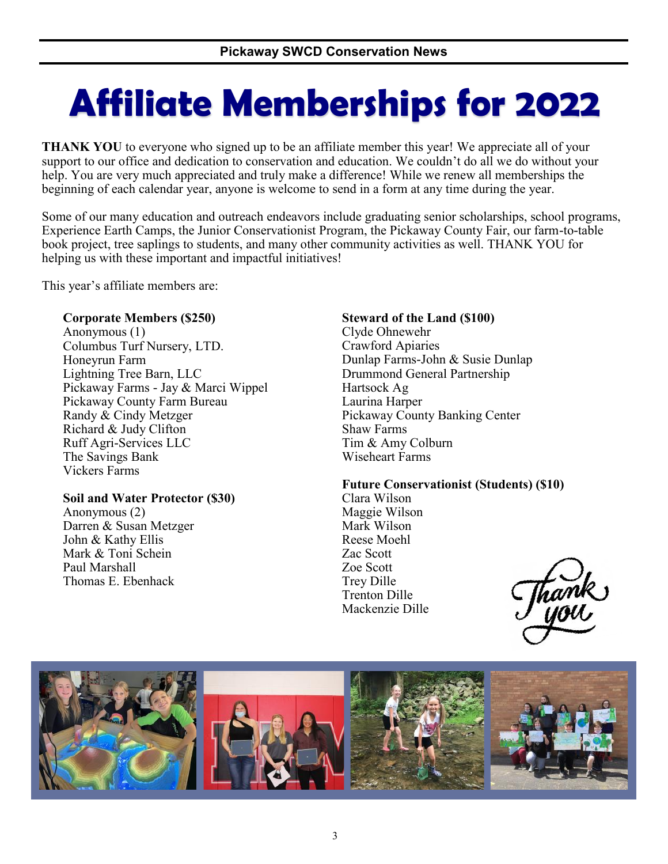# **Affiliate Memberships for 2022**

**THANK YOU** to everyone who signed up to be an affiliate member this year! We appreciate all of your support to our office and dedication to conservation and education. We couldn't do all we do without your help. You are very much appreciated and truly make a difference! While we renew all memberships the beginning of each calendar year, anyone is welcome to send in a form at any time during the year.

Some of our many education and outreach endeavors include graduating senior scholarships, school programs, Experience Earth Camps, the Junior Conservationist Program, the Pickaway County Fair, our farm-to-table book project, tree saplings to students, and many other community activities as well. THANK YOU for helping us with these important and impactful initiatives!

This year's affiliate members are:

### **Corporate Members (\$250)**

Anonymous (1) Columbus Turf Nursery, LTD. Honeyrun Farm Lightning Tree Barn, LLC Pickaway Farms - Jay & Marci Wippel Pickaway County Farm Bureau Randy & Cindy Metzger Richard & Judy Clifton Ruff Agri-Services LLC The Savings Bank Vickers Farms

### **Soil and Water Protector (\$30)**

Anonymous (2) Darren & Susan Metzger John & Kathy Ellis Mark & Toni Schein Paul Marshall Thomas E. Ebenhack

### **Steward of the Land (\$100)**

Clyde Ohnewehr Crawford Apiaries Dunlap Farms-John & Susie Dunlap Drummond General Partnership Hartsock Ag Laurina Harper Pickaway County Banking Center Shaw Farms Tim & Amy Colburn Wiseheart Farms

### **Future Conservationist (Students) (\$10)**

Clara Wilson Maggie Wilson Mark Wilson Reese Moehl Zac Scott Zoe Scott Trey Dille Trenton Dille Mackenzie Dille

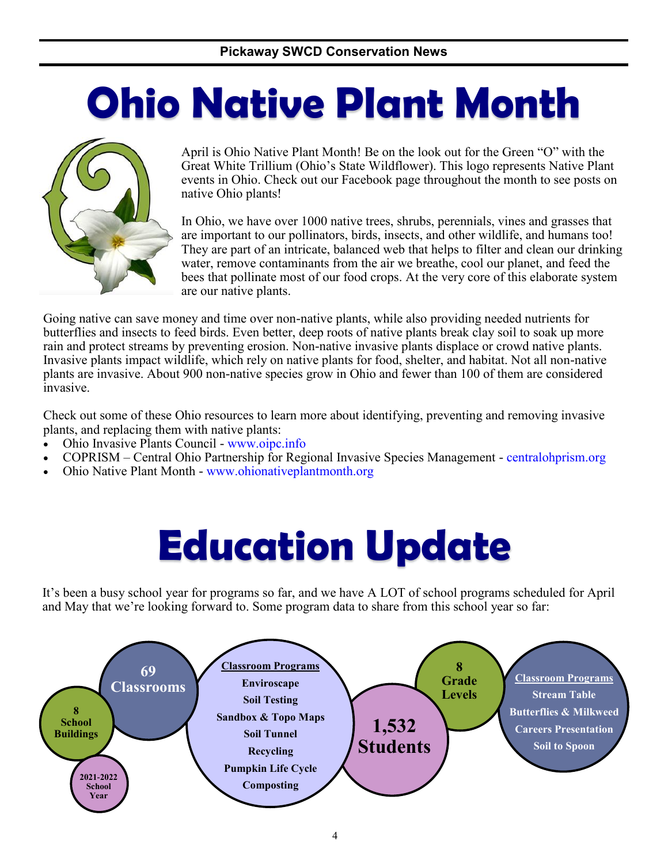# **Ohio Native Plant Month**



April is Ohio Native Plant Month! Be on the look out for the Green "O" with the Great White Trillium (Ohio's State Wildflower). This logo represents Native Plant events in Ohio. Check out our Facebook page throughout the month to see posts on native Ohio plants!

In Ohio, we have over 1000 native trees, shrubs, perennials, vines and grasses that are important to our pollinators, birds, insects, and other wildlife, and humans too! They are part of an intricate, balanced web that helps to filter and clean our drinking water, remove contaminants from the air we breathe, cool our planet, and feed the bees that pollinate most of our food crops. At the very core of this elaborate system are our native plants.

Going native can save money and time over non-native plants, while also providing needed nutrients for butterflies and insects to feed birds. Even better, deep roots of native plants break clay soil to soak up more rain and protect streams by preventing erosion. Non-native invasive plants displace or crowd native plants. Invasive plants impact wildlife, which rely on native plants for food, shelter, and habitat. Not all non-native plants are invasive. About 900 non-native species grow in Ohio and fewer than 100 of them are considered invasive.

Check out some of these Ohio resources to learn more about identifying, preventing and removing invasive plants, and replacing them with native plants:

- Ohio Invasive Plants Council www.oipc.info
- COPRISM Central Ohio Partnership for Regional Invasive Species Management centralohprism.org
- Ohio Native Plant Month www.ohionativeplantmonth.org

# **Education Update**

It's been a busy school year for programs so far, and we have A LOT of school programs scheduled for April and May that we're looking forward to. Some program data to share from this school year so far:

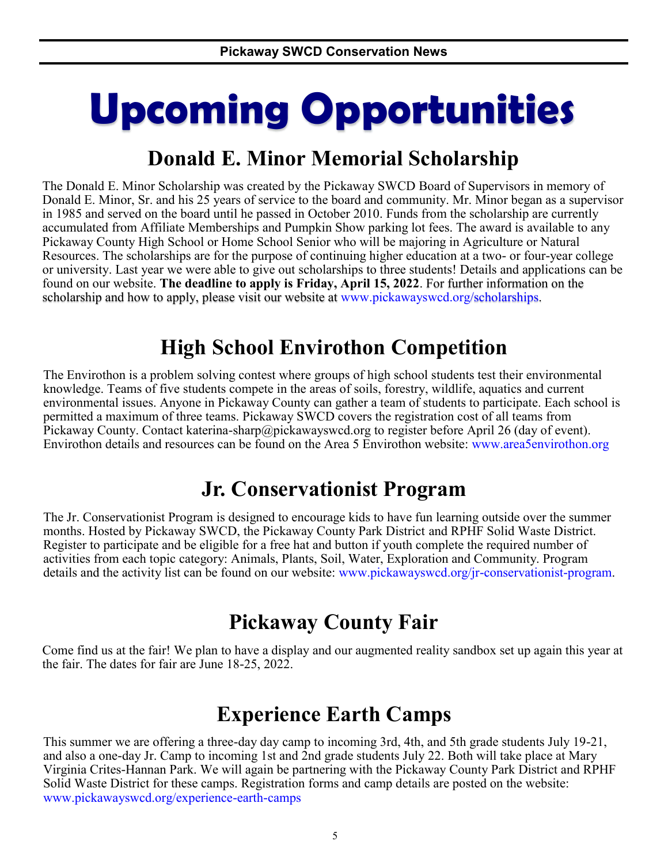# **Upcoming Opportunities**

## **Donald E. Minor Memorial Scholarship**

The Donald E. Minor Scholarship was created by the Pickaway SWCD Board of Supervisors in memory of Donald E. Minor, Sr. and his 25 years of service to the board and community. Mr. Minor began as a supervisor in 1985 and served on the board until he passed in October 2010. Funds from the scholarship are currently accumulated from Affiliate Memberships and Pumpkin Show parking lot fees. The award is available to any Pickaway County High School or Home School Senior who will be majoring in Agriculture or Natural Resources. The scholarships are for the purpose of continuing higher education at a two- or four-year college or university. Last year we were able to give out scholarships to three students! Details and applications can be found on our website. **The deadline to apply is Friday, April 15, 2022**. For further information on the scholarship and how to apply, please visit our website at www.pickawayswcd.org/scholarships.

## **High School Envirothon Competition**

The Envirothon is a problem solving contest where groups of high school students test their environmental knowledge. Teams of five students compete in the areas of soils, forestry, wildlife, aquatics and current environmental issues. Anyone in Pickaway County can gather a team of students to participate. Each school is permitted a maximum of three teams. Pickaway SWCD covers the registration cost of all teams from Pickaway County. Contact katerina-sharp@pickawayswcd.org to register before April 26 (day of event). Envirothon details and resources can be found on the Area 5 Envirothon website: [www.area5envirothon.org](https://www.area5envirothon.org/)

## **Jr. Conservationist Program**

The Jr. Conservationist Program is designed to encourage kids to have fun learning outside over the summer months. Hosted by Pickaway SWCD, the Pickaway County Park District and RPHF Solid Waste District. Register to participate and be eligible for a free hat and button if youth complete the required number of activities from each topic category: Animals, Plants, Soil, Water, Exploration and Community. Program details and the activity list can be found on our website: www.pickawayswcd.org/jr-conservationist-program.

## **Pickaway County Fair**

Come find us at the fair! We plan to have a display and our augmented reality sandbox set up again this year at the fair. The dates for fair are June 18-25, 2022.

## **Experience Earth Camps**

This summer we are offering a three-day day camp to incoming 3rd, 4th, and 5th grade students July 19-21, and also a one-day Jr. Camp to incoming 1st and 2nd grade students July 22. Both will take place at Mary Virginia Crites-Hannan Park. We will again be partnering with the Pickaway County Park District and RPHF Solid Waste District for these camps. Registration forms and camp details are posted on the website: www.pickawayswcd.org/experience-earth-camps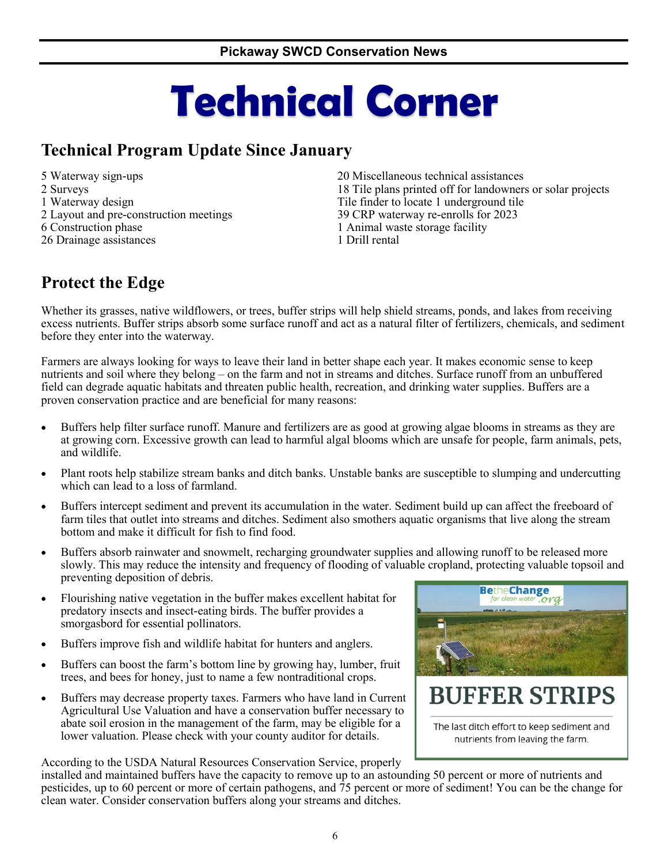# **Technical Corner**

## **Technical Program Update Since January**

5 Waterway sign-ups 2 Surveys 1 Waterway design 2 Layout and pre-construction meetings 6 Construction phase 26 Drainage assistances

20 Miscellaneous technical assistances 18 Tile plans printed off for landowners or solar projects Tile finder to locate 1 underground tile 39 CRP waterway re-enrolls for 2023 1 Animal waste storage facility 1 Drill rental

## **Protect the Edge**

Whether its grasses, native wildflowers, or trees, buffer strips will help shield streams, ponds, and lakes from receiving excess nutrients. Buffer strips absorb some surface runoff and act as a natural filter of fertilizers, chemicals, and sediment before they enter into the waterway.

Farmers are always looking for ways to leave their land in better shape each year. It makes economic sense to keep nutrients and soil where they belong – on the farm and not in streams and ditches. Surface runoff from an unbuffered field can degrade aquatic habitats and threaten public health, recreation, and drinking water supplies. Buffers are a proven conservation practice and are beneficial for many reasons:

- Buffers help filter surface runoff. Manure and fertilizers are as good at growing algae blooms in streams as they are at growing corn. Excessive growth can lead to harmful algal blooms which are unsafe for people, farm animals, pets, and wildlife.
- Plant roots help stabilize stream banks and ditch banks. Unstable banks are susceptible to slumping and undercutting which can lead to a loss of farmland.
- Buffers intercept sediment and prevent its accumulation in the water. Sediment build up can affect the freeboard of farm tiles that outlet into streams and ditches. Sediment also smothers aquatic organisms that live along the stream bottom and make it difficult for fish to find food.
- Buffers absorb rainwater and snowmelt, recharging groundwater supplies and allowing runoff to be released more slowly. This may reduce the intensity and frequency of flooding of valuable cropland, protecting valuable topsoil and preventing deposition of debris.
- Flourishing native vegetation in the buffer makes excellent habitat for predatory insects and insect-eating birds. The buffer provides a smorgasbord for essential pollinators.
- Buffers improve fish and wildlife habitat for hunters and anglers.
- Buffers can boost the farm's bottom line by growing hay, lumber, fruit trees, and bees for honey, just to name a few nontraditional crops.
- Buffers may decrease property taxes. Farmers who have land in Current Agricultural Use Valuation and have a conservation buffer necessary to abate soil erosion in the management of the farm, may be eligible for a lower valuation. Please check with your county auditor for details.

According to the USDA Natural Resources Conservation Service, properly

**BetheChange** for clean water **BUFFER STRIPS** 

The last ditch effort to keep sediment and nutrients from leaving the farm.

installed and maintained buffers have the capacity to remove up to an astounding 50 percent or more of nutrients and pesticides, up to 60 percent or more of certain pathogens, and 75 percent or more of sediment! You can be the change for clean water. Consider conservation buffers along your streams and ditches.